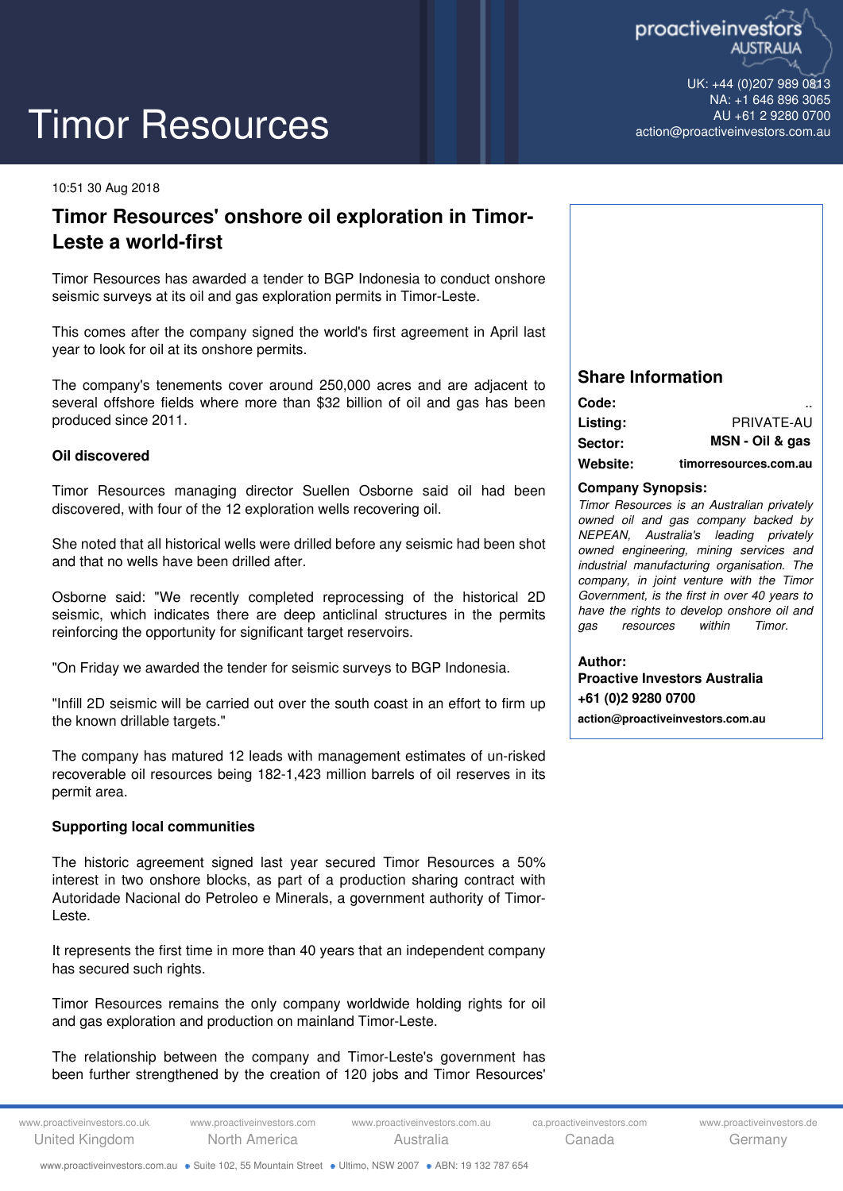

UK: +44 (0)207 989 0813 NA: +1 646 896 3065 AU +61 2 9280 0700 [action@proactiveinvestors.com.au](mailto:action@proactiveinvestors.com.au)

# Timor Resources

#### 10:51 30 Aug 2018

# **Timor Resources' onshore oil exploration in Timor-Leste a world-first**

Timor Resources has awarded a tender to BGP Indonesia to conduct onshore seismic surveys at its oil and gas exploration permits in Timor-Leste.

This comes after the company signed the world's first agreement in April last year to look for oil at its onshore permits.

The company's tenements cover around 250,000 acres and are adjacent to several offshore fields where more than \$32 billion of oil and gas has been produced since 2011.

## **Oil discovered**

Timor Resources managing director Suellen Osborne said oil had been discovered, with four of the 12 exploration wells recovering oil.

She noted that all historical wells were drilled before any seismic had been shot and that no wells have been drilled after.

Osborne said: "We recently completed reprocessing of the historical 2D seismic, which indicates there are deep anticlinal structures in the permits reinforcing the opportunity for significant target reservoirs.

"On Friday we awarded the tender for seismic surveys to BGP Indonesia.

"Infill 2D seismic will be carried out over the south coast in an effort to firm up the known drillable targets."

The company has matured 12 leads with management estimates of un-risked recoverable oil resources being 182-1,423 million barrels of oil reserves in its permit area.

# **Supporting local communities**

The historic agreement signed last year secured Timor Resources a 50% interest in two onshore blocks, as part of a production sharing contract with Autoridade Nacional do Petroleo e Minerals, a government authority of Timor-Leste.

It represents the first time in more than 40 years that an independent company has secured such rights.

Timor Resources remains the only company worldwide holding rights for oil and gas exploration and production on mainland Timor-Leste.

The relationship between the company and Timor-Leste's government has been further strengthened by the creation of 120 jobs and Timor Resources'

# **Share Information**

| Code:          |                       |
|----------------|-----------------------|
| Listing:       | PRIVATE-AU            |
| <b>Sector:</b> | MSN - Oil & gas       |
| Website:       | timorresources.com.au |

## **Company Synopsis:**

*Timor Resources is an Australian privately owned oil and gas company backed by NEPEAN, Australia's leading privately owned engineering, mining services and industrial manufacturing organisation. The company, in joint venture with the Timor Government, is the first in over 40 years to have the rights to develop onshore oil and gas resources within Timor.*

**Author: Proactive Investors Australia +61 (0)2 9280 0700 [action@proactiveinvestors.com.au](mailto:action@proactiveinvestors.com.au)**

www.proactiveinvestors.com.au · Suite 102, 55 Mountain Street · Ultimo, NSW 2007 · ABN: 19 132 787 654